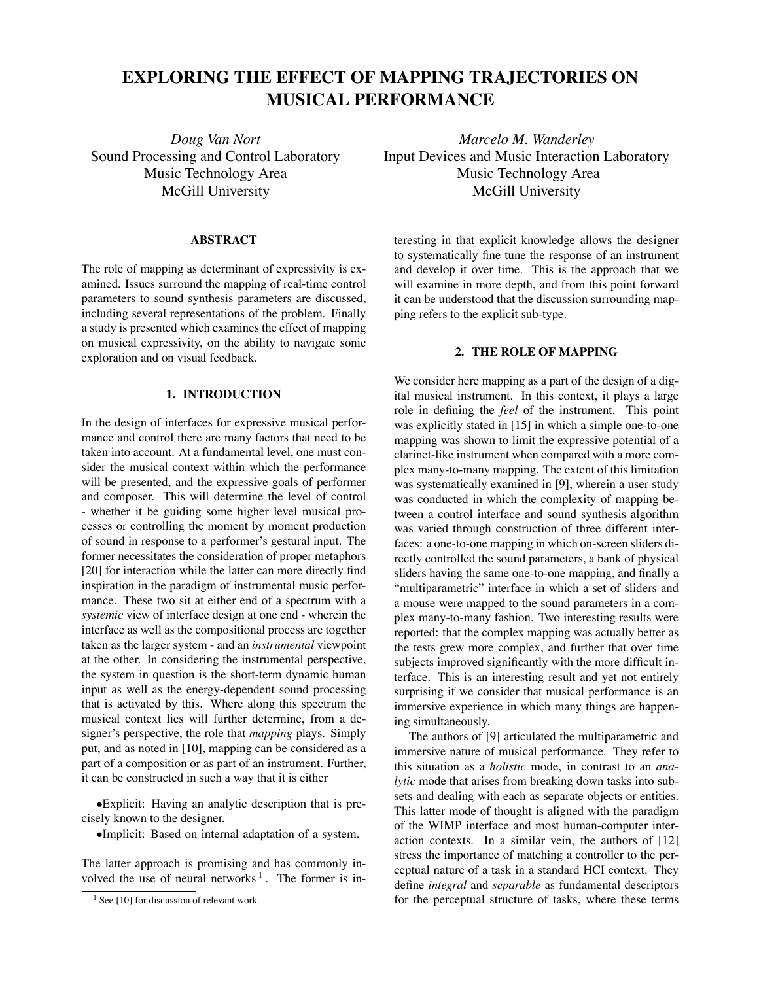# **EXPLORING THE EFFECT OF MAPPING TRAJECTORIES ON MUSICAL PERFORMANCE**

*Doug Van Nort* Sound Processing and Control Laboratory Music Technology Area McGill University

# **ABSTRACT**

The role of mapping as determinant of expressivity is examined. Issues surround the mapping of real-time control parameters to sound synthesis parameters are discussed, including several representations of the problem. Finally a study is presented which examines the effect of mapping on musical expressivity, on the ability to navigate sonic exploration and on visual feedback.

## **1. INTRODUCTION**

In the design of interfaces for expressive musical performance and control there are many factors that need to be taken into account. At a fundamental level, one must consider the musical context within which the performance will be presented, and the expressive goals of performer and composer. This will determine the level of control - whether it be guiding some higher level musical processes or controlling the moment by moment production of sound in response to a performer's gestural input. The former necessitates the consideration of proper metaphors [20] for interaction while the latter can more directly find inspiration in the paradigm of instrumental music performance. These two sit at either end of a spectrum with a *systemic* view of interface design at one end - wherein the interface as well as the compositional process are together taken as the larger system - and an *instrumental* viewpoint at the other. In considering the instrumental perspective, the system in question is the short-term dynamic human input as well as the energy-dependent sound processing that is activated by this. Where along this spectrum the musical context lies will further determine, from a designer's perspective, the role that *mapping* plays. Simply put, and as noted in [10], mapping can be considered as a part of a composition or as part of an instrument. Further, it can be constructed in such a way that it is either

*•*Explicit: Having an analytic description that is precisely known to the designer.

*•*Implicit: Based on internal adaptation of a system.

The latter approach is promising and has commonly involved the use of neural networks<sup>1</sup>. The former is in-

*Marcelo M. Wanderley* Input Devices and Music Interaction Laboratory Music Technology Area McGill University

teresting in that explicit knowledge allows the designer to systematically fine tune the response of an instrument and develop it over time. This is the approach that we will examine in more depth, and from this point forward it can be understood that the discussion surrounding mapping refers to the explicit sub-type.

# **2. THE ROLE OF MAPPING**

We consider here mapping as a part of the design of a digital musical instrument. In this context, it plays a large role in defining the *feel* of the instrument. This point was explicitly stated in [15] in which a simple one-to-one mapping was shown to limit the expressive potential of a clarinet-like instrument when compared with a more complex many-to-many mapping. The extent of this limitation was systematically examined in [9], wherein a user study was conducted in which the complexity of mapping between a control interface and sound synthesis algorithm was varied through construction of three different interfaces: a one-to-one mapping in which on-screen sliders directly controlled the sound parameters, a bank of physical sliders having the same one-to-one mapping, and finally a "multiparametric" interface in which a set of sliders and a mouse were mapped to the sound parameters in a complex many-to-many fashion. Two interesting results were reported: that the complex mapping was actually better as the tests grew more complex, and further that over time subjects improved significantly with the more difficult interface. This is an interesting result and yet not entirely surprising if we consider that musical performance is an immersive experience in which many things are happening simultaneously.

The authors of [9] articulated the multiparametric and immersive nature of musical performance. They refer to this situation as a *holistic* mode, in contrast to an *analytic* mode that arises from breaking down tasks into subsets and dealing with each as separate objects or entities. This latter mode of thought is aligned with the paradigm of the WIMP interface and most human-computer interaction contexts. In a similar vein, the authors of [12] stress the importance of matching a controller to the perceptual nature of a task in a standard HCI context. They define *integral* and *separable* as fundamental descriptors for the perceptual structure of tasks, where these terms

 $1$  See [10] for discussion of relevant work.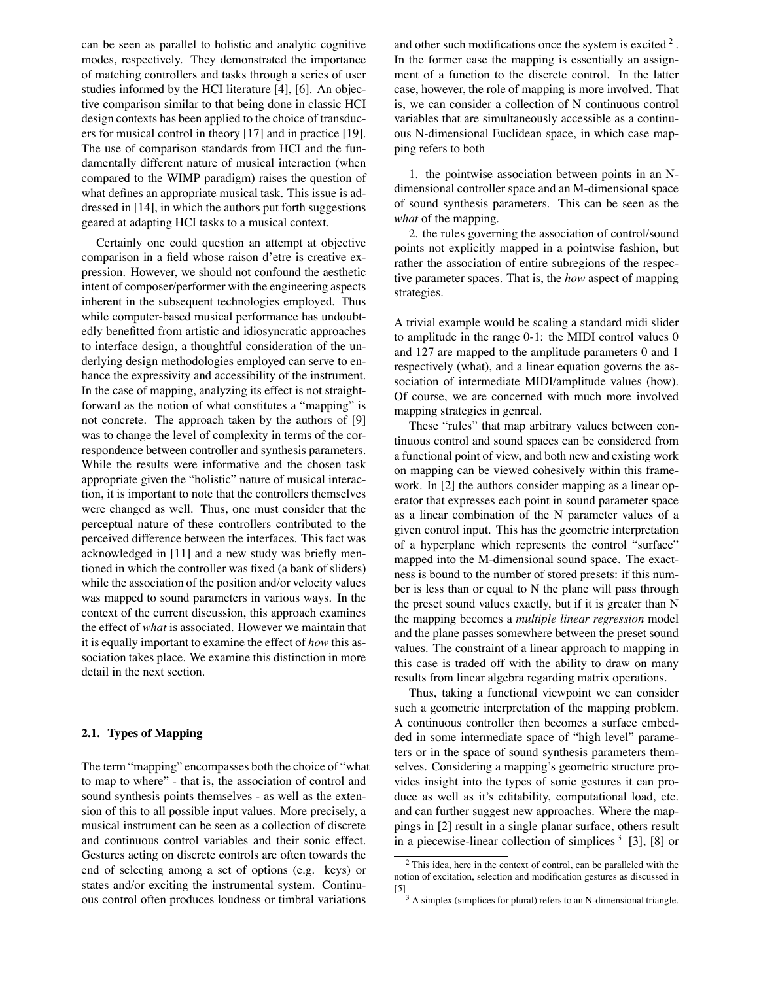can be seen as parallel to holistic and analytic cognitive modes, respectively. They demonstrated the importance of matching controllers and tasks through a series of user studies informed by the HCI literature [4], [6]. An objective comparison similar to that being done in classic HCI design contexts has been applied to the choice of transducers for musical control in theory [17] and in practice [19]. The use of comparison standards from HCI and the fundamentally different nature of musical interaction (when compared to the WIMP paradigm) raises the question of what defines an appropriate musical task. This issue is addressed in [14], in which the authors put forth suggestions geared at adapting HCI tasks to a musical context.

Certainly one could question an attempt at objective comparison in a field whose raison d'etre is creative expression. However, we should not confound the aesthetic intent of composer/performer with the engineering aspects inherent in the subsequent technologies employed. Thus while computer-based musical performance has undoubtedly benefitted from artistic and idiosyncratic approaches to interface design, a thoughtful consideration of the underlying design methodologies employed can serve to enhance the expressivity and accessibility of the instrument. In the case of mapping, analyzing its effect is not straightforward as the notion of what constitutes a "mapping" is not concrete. The approach taken by the authors of [9] was to change the level of complexity in terms of the correspondence between controller and synthesis parameters. While the results were informative and the chosen task appropriate given the "holistic" nature of musical interaction, it is important to note that the controllers themselves were changed as well. Thus, one must consider that the perceptual nature of these controllers contributed to the perceived difference between the interfaces. This fact was acknowledged in [11] and a new study was briefly mentioned in which the controller was fixed (a bank of sliders) while the association of the position and/or velocity values was mapped to sound parameters in various ways. In the context of the current discussion, this approach examines the effect of *what* is associated. However we maintain that it is equally important to examine the effect of *how* this association takes place. We examine this distinction in more detail in the next section.

## **2.1. Types of Mapping**

The term "mapping" encompasses both the choice of "what to map to where" - that is, the association of control and sound synthesis points themselves - as well as the extension of this to all possible input values. More precisely, a musical instrument can be seen as a collection of discrete and continuous control variables and their sonic effect. Gestures acting on discrete controls are often towards the end of selecting among a set of options (e.g. keys) or states and/or exciting the instrumental system. Continuous control often produces loudness or timbral variations

and other such modifications once the system is excited  $2<sup>2</sup>$ . In the former case the mapping is essentially an assignment of a function to the discrete control. In the latter case, however, the role of mapping is more involved. That is, we can consider a collection of N continuous control variables that are simultaneously accessible as a continuous N-dimensional Euclidean space, in which case mapping refers to both

1. the pointwise association between points in an Ndimensional controller space and an M-dimensional space of sound synthesis parameters. This can be seen as the *what* of the mapping.

2. the rules governing the association of control/sound points not explicitly mapped in a pointwise fashion, but rather the association of entire subregions of the respective parameter spaces. That is, the *how* aspect of mapping strategies.

A trivial example would be scaling a standard midi slider to amplitude in the range 0-1: the MIDI control values 0 and 127 are mapped to the amplitude parameters 0 and 1 respectively (what), and a linear equation governs the association of intermediate MIDI/amplitude values (how). Of course, we are concerned with much more involved mapping strategies in genreal.

These "rules" that map arbitrary values between continuous control and sound spaces can be considered from a functional point of view, and both new and existing work on mapping can be viewed cohesively within this framework. In [2] the authors consider mapping as a linear operator that expresses each point in sound parameter space as a linear combination of the N parameter values of a given control input. This has the geometric interpretation of a hyperplane which represents the control "surface" mapped into the M-dimensional sound space. The exactness is bound to the number of stored presets: if this number is less than or equal to N the plane will pass through the preset sound values exactly, but if it is greater than N the mapping becomes a *multiple linear regression* model and the plane passes somewhere between the preset sound values. The constraint of a linear approach to mapping in this case is traded off with the ability to draw on many results from linear algebra regarding matrix operations.

Thus, taking a functional viewpoint we can consider such a geometric interpretation of the mapping problem. A continuous controller then becomes a surface embedded in some intermediate space of "high level" parameters or in the space of sound synthesis parameters themselves. Considering a mapping's geometric structure provides insight into the types of sonic gestures it can produce as well as it's editability, computational load, etc. and can further suggest new approaches. Where the mappings in [2] result in a single planar surface, others result in a piecewise-linear collection of simplices  $3$  [3], [8] or

<sup>2</sup> This idea, here in the context of control, can be paralleled with the notion of excitation, selection and modification gestures as discussed in

<sup>[5]</sup>  $3A$  simplex (simplices for plural) refers to an N-dimensional triangle.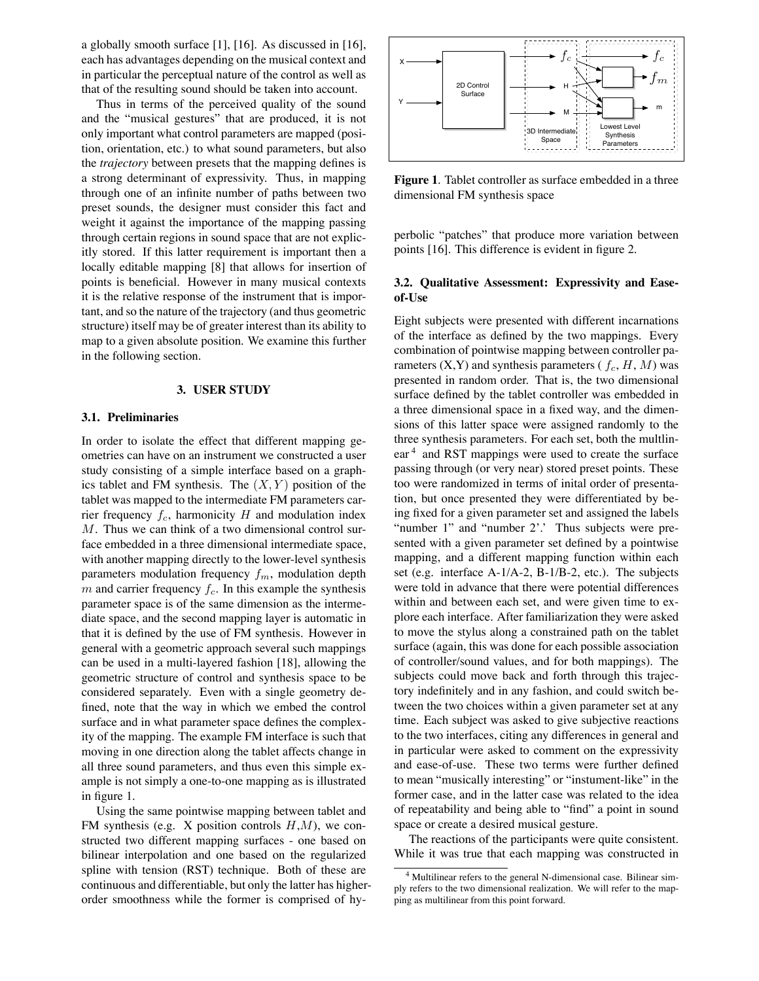a globally smooth surface [1], [16]. As discussed in [16], each has advantages depending on the musical context and in particular the perceptual nature of the control as well as that of the resulting sound should be taken into account.

Thus in terms of the perceived quality of the sound and the "musical gestures" that are produced, it is not only important what control parameters are mapped (position, orientation, etc.) to what sound parameters, but also the *trajectory* between presets that the mapping defines is a strong determinant of expressivity. Thus, in mapping through one of an infinite number of paths between two preset sounds, the designer must consider this fact and weight it against the importance of the mapping passing through certain regions in sound space that are not explicitly stored. If this latter requirement is important then a locally editable mapping [8] that allows for insertion of points is beneficial. However in many musical contexts it is the relative response of the instrument that is important, and so the nature of the trajectory (and thus geometric structure) itself may be of greater interest than its ability to map to a given absolute position. We examine this further in the following section.

#### **3. USER STUDY**

#### **3.1. Preliminaries**

In order to isolate the effect that different mapping geometries can have on an instrument we constructed a user study consisting of a simple interface based on a graphics tablet and FM synthesis. The (*X, Y* ) position of the tablet was mapped to the intermediate FM parameters carrier frequency *fc*, harmonicity *H* and modulation index *M*. Thus we can think of a two dimensional control surface embedded in a three dimensional intermediate space, with another mapping directly to the lower-level synthesis parameters modulation frequency *fm*, modulation depth  $m$  and carrier frequency  $f_c$ . In this example the synthesis parameter space is of the same dimension as the intermediate space, and the second mapping layer is automatic in that it is defined by the use of FM synthesis. However in general with a geometric approach several such mappings can be used in a multi-layered fashion [18], allowing the geometric structure of control and synthesis space to be considered separately. Even with a single geometry defined, note that the way in which we embed the control surface and in what parameter space defines the complexity of the mapping. The example FM interface is such that moving in one direction along the tablet affects change in all three sound parameters, and thus even this simple example is not simply a one-to-one mapping as is illustrated in figure 1.

Using the same pointwise mapping between tablet and FM synthesis (e.g. X position controls *H*,*M*), we constructed two different mapping surfaces - one based on bilinear interpolation and one based on the regularized spline with tension (RST) technique. Both of these are continuous and differentiable, but only the latter has higherorder smoothness while the former is comprised of hy-



**Figure 1**. Tablet controller as surface embedded in a three dimensional FM synthesis space

perbolic "patches" that produce more variation between points [16]. This difference is evident in figure 2.

## **3.2. Qualitative Assessment: Expressivity and Easeof-Use**

Eight subjects were presented with different incarnations of the interface as defined by the two mappings. Every combination of pointwise mapping between controller parameters  $(X, Y)$  and synthesis parameters  $(f_c, H, M)$  was presented in random order. That is, the two dimensional surface defined by the tablet controller was embedded in a three dimensional space in a fixed way, and the dimensions of this latter space were assigned randomly to the three synthesis parameters. For each set, both the multlinear<sup>4</sup> and RST mappings were used to create the surface passing through (or very near) stored preset points. These too were randomized in terms of inital order of presentation, but once presented they were differentiated by being fixed for a given parameter set and assigned the labels "number 1" and "number 2'.' Thus subjects were presented with a given parameter set defined by a pointwise mapping, and a different mapping function within each set (e.g. interface A-1/A-2, B-1/B-2, etc.). The subjects were told in advance that there were potential differences within and between each set, and were given time to explore each interface. After familiarization they were asked to move the stylus along a constrained path on the tablet surface (again, this was done for each possible association of controller/sound values, and for both mappings). The subjects could move back and forth through this trajectory indefinitely and in any fashion, and could switch between the two choices within a given parameter set at any time. Each subject was asked to give subjective reactions to the two interfaces, citing any differences in general and in particular were asked to comment on the expressivity and ease-of-use. These two terms were further defined to mean "musically interesting" or "instument-like" in the former case, and in the latter case was related to the idea of repeatability and being able to "find" a point in sound space or create a desired musical gesture.

The reactions of the participants were quite consistent. While it was true that each mapping was constructed in

<sup>4</sup> Multilinear refers to the general N-dimensional case. Bilinear simply refers to the two dimensional realization. We will refer to the mapping as multilinear from this point forward.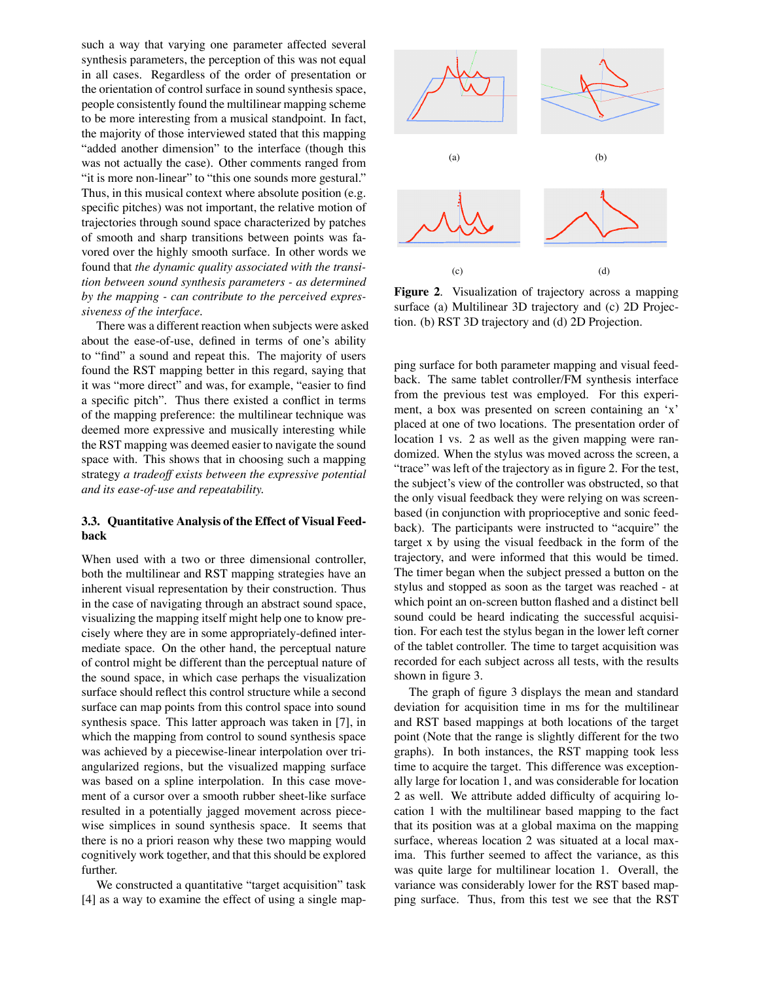such a way that varying one parameter affected several synthesis parameters, the perception of this was not equal in all cases. Regardless of the order of presentation or the orientation of control surface in sound synthesis space, people consistently found the multilinear mapping scheme to be more interesting from a musical standpoint. In fact, the majority of those interviewed stated that this mapping "added another dimension" to the interface (though this was not actually the case). Other comments ranged from "it is more non-linear" to "this one sounds more gestural." Thus, in this musical context where absolute position (e.g. specific pitches) was not important, the relative motion of trajectories through sound space characterized by patches of smooth and sharp transitions between points was favored over the highly smooth surface. In other words we found that *the dynamic quality associated with the transition between sound synthesis parameters - as determined by the mapping - can contribute to the perceived expressiveness of the interface.*

There was a different reaction when subjects were asked about the ease-of-use, defined in terms of one's ability to "find" a sound and repeat this. The majority of users found the RST mapping better in this regard, saying that it was "more direct" and was, for example, "easier to find a specific pitch". Thus there existed a conflict in terms of the mapping preference: the multilinear technique was deemed more expressive and musically interesting while the RST mapping was deemed easier to navigate the sound space with. This shows that in choosing such a mapping strategy *a tradeoff exists between the expressive potential and its ease-of-use and repeatability.*

# **3.3. Quantitative Analysis of the Effect of Visual Feedback**

When used with a two or three dimensional controller, both the multilinear and RST mapping strategies have an inherent visual representation by their construction. Thus in the case of navigating through an abstract sound space, visualizing the mapping itself might help one to know precisely where they are in some appropriately-defined intermediate space. On the other hand, the perceptual nature of control might be different than the perceptual nature of the sound space, in which case perhaps the visualization surface should reflect this control structure while a second surface can map points from this control space into sound synthesis space. This latter approach was taken in [7], in which the mapping from control to sound synthesis space was achieved by a piecewise-linear interpolation over triangularized regions, but the visualized mapping surface was based on a spline interpolation. In this case movement of a cursor over a smooth rubber sheet-like surface resulted in a potentially jagged movement across piecewise simplices in sound synthesis space. It seems that there is no a priori reason why these two mapping would cognitively work together, and that this should be explored further.

We constructed a quantitative "target acquisition" task [4] as a way to examine the effect of using a single map-



**Figure 2**. Visualization of trajectory across a mapping surface (a) Multilinear 3D trajectory and (c) 2D Projection. (b) RST 3D trajectory and (d) 2D Projection.

ping surface for both parameter mapping and visual feedback. The same tablet controller/FM synthesis interface from the previous test was employed. For this experiment, a box was presented on screen containing an 'x' placed at one of two locations. The presentation order of location 1 vs. 2 as well as the given mapping were randomized. When the stylus was moved across the screen, a "trace" was left of the trajectory as in figure 2. For the test, the subject's view of the controller was obstructed, so that the only visual feedback they were relying on was screenbased (in conjunction with proprioceptive and sonic feedback). The participants were instructed to "acquire" the target x by using the visual feedback in the form of the trajectory, and were informed that this would be timed. The timer began when the subject pressed a button on the stylus and stopped as soon as the target was reached - at which point an on-screen button flashed and a distinct bell sound could be heard indicating the successful acquisition. For each test the stylus began in the lower left corner of the tablet controller. The time to target acquisition was recorded for each subject across all tests, with the results shown in figure 3.

The graph of figure 3 displays the mean and standard deviation for acquisition time in ms for the multilinear and RST based mappings at both locations of the target point (Note that the range is slightly different for the two graphs). In both instances, the RST mapping took less time to acquire the target. This difference was exceptionally large for location 1, and was considerable for location 2 as well. We attribute added difficulty of acquiring location 1 with the multilinear based mapping to the fact that its position was at a global maxima on the mapping surface, whereas location 2 was situated at a local maxima. This further seemed to affect the variance, as this was quite large for multilinear location 1. Overall, the variance was considerably lower for the RST based mapping surface. Thus, from this test we see that the RST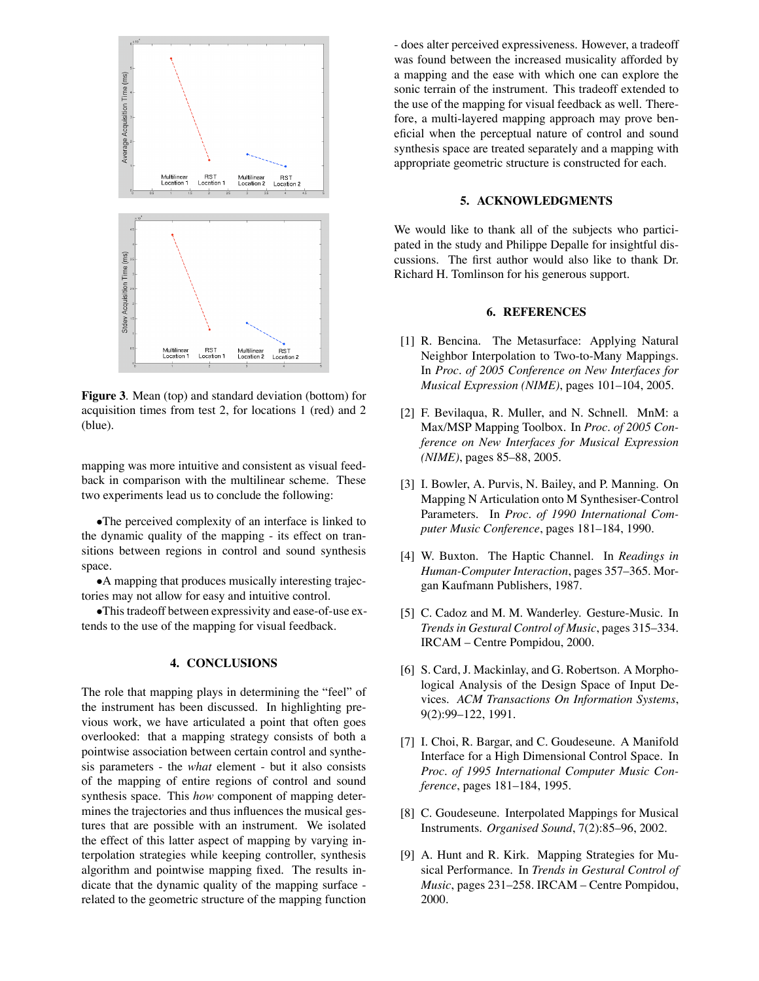

**Figure 3**. Mean (top) and standard deviation (bottom) for acquisition times from test 2, for locations 1 (red) and 2 (blue).

mapping was more intuitive and consistent as visual feedback in comparison with the multilinear scheme. These two experiments lead us to conclude the following:

*•*The perceived complexity of an interface is linked to the dynamic quality of the mapping - its effect on transitions between regions in control and sound synthesis space.

*•*A mapping that produces musically interesting trajectories may not allow for easy and intuitive control.

•This tradeoff between expressivity and ease-of-use extends to the use of the mapping for visual feedback.

## **4. CONCLUSIONS**

The role that mapping plays in determining the "feel" of the instrument has been discussed. In highlighting previous work, we have articulated a point that often goes overlooked: that a mapping strategy consists of both a pointwise association between certain control and synthesis parameters - the *what* element - but it also consists of the mapping of entire regions of control and sound synthesis space. This *how* component of mapping determines the trajectories and thus influences the musical gestures that are possible with an instrument. We isolated the effect of this latter aspect of mapping by varying interpolation strategies while keeping controller, synthesis algorithm and pointwise mapping fixed. The results indicate that the dynamic quality of the mapping surface related to the geometric structure of the mapping function

- does alter perceived expressiveness. However, a tradeoff was found between the increased musicality afforded by a mapping and the ease with which one can explore the sonic terrain of the instrument. This tradeoff extended to the use of the mapping for visual feedback as well. Therefore, a multi-layered mapping approach may prove beneficial when the perceptual nature of control and sound synthesis space are treated separately and a mapping with appropriate geometric structure is constructed for each.

## **5. ACKNOWLEDGMENTS**

We would like to thank all of the subjects who participated in the study and Philippe Depalle for insightful discussions. The first author would also like to thank Dr. Richard H. Tomlinson for his generous support.

### **6. REFERENCES**

- [1] R. Bencina. The Metasurface: Applying Natural Neighbor Interpolation to Two-to-Many Mappings. In *Proc. of 2005 Conference on New Interfaces for Musical Expression (NIME)*, pages 101–104, 2005.
- [2] F. Bevilaqua, R. Muller, and N. Schnell. MnM: a Max/MSP Mapping Toolbox. In *Proc. of 2005 Conference on New Interfaces for Musical Expression (NIME)*, pages 85–88, 2005.
- [3] I. Bowler, A. Purvis, N. Bailey, and P. Manning. On Mapping N Articulation onto M Synthesiser-Control Parameters. In *Proc. of 1990 International Computer Music Conference*, pages 181–184, 1990.
- [4] W. Buxton. The Haptic Channel. In *Readings in Human-Computer Interaction*, pages 357–365. Morgan Kaufmann Publishers, 1987.
- [5] C. Cadoz and M. M. Wanderley. Gesture-Music. In *Trendsin Gestural Control of Music*, pages 315–334. IRCAM – Centre Pompidou, 2000.
- [6] S. Card, J. Mackinlay, and G. Robertson. A Morphological Analysis of the Design Space of Input Devices. *ACM Transactions On Information Systems*, 9(2):99–122, 1991.
- [7] I. Choi, R. Bargar, and C. Goudeseune. A Manifold Interface for a High Dimensional Control Space. In *Proc. of 1995 International Computer Music Conference*, pages 181–184, 1995.
- [8] C. Goudeseune. Interpolated Mappings for Musical Instruments. *Organised Sound*, 7(2):85–96, 2002.
- [9] A. Hunt and R. Kirk. Mapping Strategies for Musical Performance. In *Trends in Gestural Control of Music*, pages 231–258. IRCAM – Centre Pompidou, 2000.